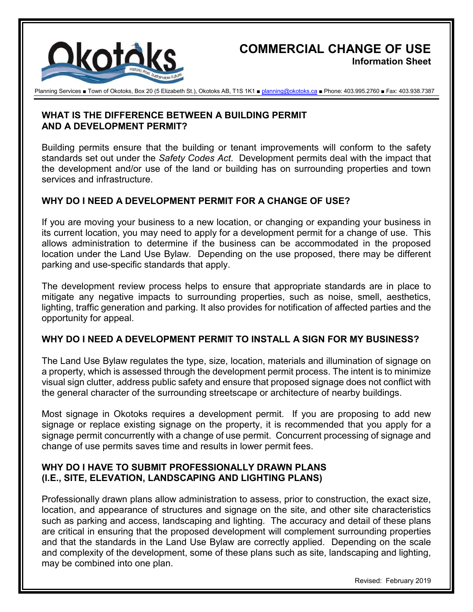

# **COMMERCIAL CHANGE OF USE Information Sheet**

Planning Services ■ Town of Okotoks, Box 20 (5 Elizabeth St.), Okotoks AB, T1S 1K1 ■ planning@okotoks.ca ■ Phone: 403.995.2760 ■ Fax: 403.938.7387

#### **WHAT IS THE DIFFERENCE BETWEEN A BUILDING PERMIT AND A DEVELOPMENT PERMIT?**

Building permits ensure that the building or tenant improvements will conform to the safety standards set out under the *Safety Codes Act*. Development permits deal with the impact that the development and/or use of the land or building has on surrounding properties and town services and infrastructure.

## **WHY DO I NEED A DEVELOPMENT PERMIT FOR A CHANGE OF USE?**

If you are moving your business to a new location, or changing or expanding your business in its current location, you may need to apply for a development permit for a change of use. This allows administration to determine if the business can be accommodated in the proposed location under the Land Use Bylaw. Depending on the use proposed, there may be different parking and use-specific standards that apply.

The development review process helps to ensure that appropriate standards are in place to mitigate any negative impacts to surrounding properties, such as noise, smell, aesthetics, lighting, traffic generation and parking. It also provides for notification of affected parties and the opportunity for appeal.

#### **WHY DO I NEED A DEVELOPMENT PERMIT TO INSTALL A SIGN FOR MY BUSINESS?**

The Land Use Bylaw regulates the type, size, location, materials and illumination of signage on a property, which is assessed through the development permit process. The intent is to minimize visual sign clutter, address public safety and ensure that proposed signage does not conflict with the general character of the surrounding streetscape or architecture of nearby buildings.

Most signage in Okotoks requires a development permit. If you are proposing to add new signage or replace existing signage on the property, it is recommended that you apply for a signage permit concurrently with a change of use permit. Concurrent processing of signage and change of use permits saves time and results in lower permit fees.

#### **WHY DO I HAVE TO SUBMIT PROFESSIONALLY DRAWN PLANS (I.E., SITE, ELEVATION, LANDSCAPING AND LIGHTING PLANS)**

Professionally drawn plans allow administration to assess, prior to construction, the exact size, location, and appearance of structures and signage on the site, and other site characteristics such as parking and access, landscaping and lighting. The accuracy and detail of these plans are critical in ensuring that the proposed development will complement surrounding properties and that the standards in the Land Use Bylaw are correctly applied. Depending on the scale and complexity of the development, some of these plans such as site, landscaping and lighting, may be combined into one plan.

Revised: February 2019